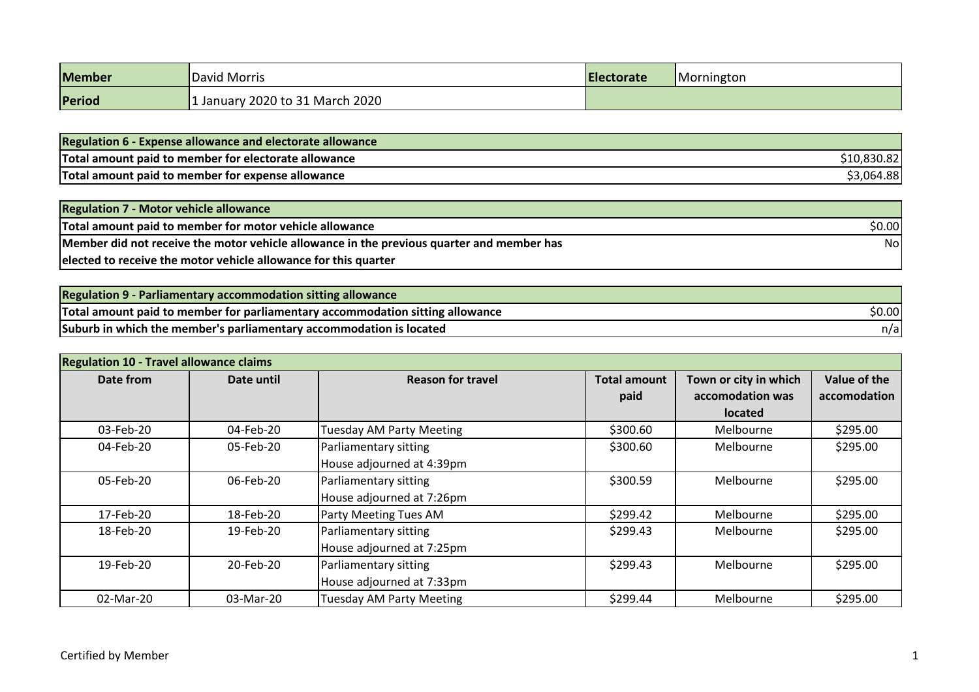| <b>Member</b> | David Morris                  | <b>Electorate</b> | Mornington |
|---------------|-------------------------------|-------------------|------------|
| Period        | January 2020 to 31 March 2020 |                   |            |

| <b>Regulation 6 - Expense allowance and electorate allowance</b> |            |
|------------------------------------------------------------------|------------|
| Total amount paid to member for electorate allowance             | 10,830.82  |
| Total amount paid to member for expense allowance                | \$3,064.88 |

| <b>Regulation 7 - Motor vehicle allowance</b>                                             |        |
|-------------------------------------------------------------------------------------------|--------|
| Total amount paid to member for motor vehicle allowance                                   | \$0.00 |
| Member did not receive the motor vehicle allowance in the previous quarter and member has | Nol    |
| elected to receive the motor vehicle allowance for this quarter                           |        |

| Regulation 9 - Parliamentary accommodation sitting allowance                  |        |
|-------------------------------------------------------------------------------|--------|
| Total amount paid to member for parliamentary accommodation sitting allowance | \$0.00 |
| Suburb in which the member's parliamentary accommodation is located           | n/a    |

| <b>Regulation 10 - Travel allowance claims</b> |                                                                 |                                                    |                             |                                           |                              |
|------------------------------------------------|-----------------------------------------------------------------|----------------------------------------------------|-----------------------------|-------------------------------------------|------------------------------|
| Date from                                      | Date until                                                      | <b>Reason for travel</b>                           | <b>Total amount</b><br>paid | Town or city in which<br>accomodation was | Value of the<br>accomodation |
| 03-Feb-20                                      | 04-Feb-20                                                       | Tuesday AM Party Meeting                           | \$300.60                    | <b>located</b><br>Melbourne               | \$295.00                     |
| 04-Feb-20                                      | 05-Feb-20                                                       | Parliamentary sitting<br>House adjourned at 4:39pm | \$300.60                    | Melbourne                                 | \$295.00                     |
| 05-Feb-20                                      | 06-Feb-20                                                       | Parliamentary sitting<br>House adjourned at 7:26pm | \$300.59                    | Melbourne                                 | \$295.00                     |
| 17-Feb-20                                      | 18-Feb-20                                                       | Party Meeting Tues AM                              | \$299.42                    | Melbourne                                 | \$295.00                     |
| 18-Feb-20                                      | 19-Feb-20<br>Parliamentary sitting<br>House adjourned at 7:25pm |                                                    | \$299.43                    | Melbourne                                 | \$295.00                     |
| 19-Feb-20                                      | 20-Feb-20                                                       | Parliamentary sitting<br>House adjourned at 7:33pm | \$299.43                    | Melbourne                                 | \$295.00                     |
| 02-Mar-20                                      | 03-Mar-20                                                       | Tuesday AM Party Meeting                           | \$299.44                    | Melbourne                                 | \$295.00                     |